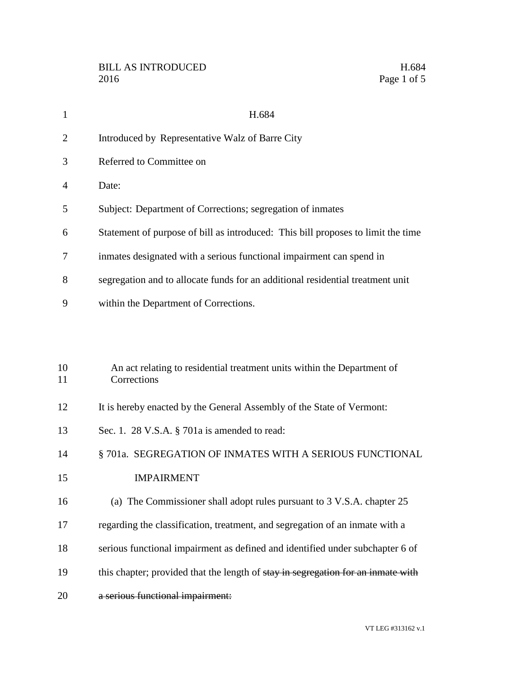| $\mathbf{1}$   | H.684                                                                                  |
|----------------|----------------------------------------------------------------------------------------|
| $\overline{2}$ | Introduced by Representative Walz of Barre City                                        |
| 3              | Referred to Committee on                                                               |
| 4              | Date:                                                                                  |
| 5              | Subject: Department of Corrections; segregation of inmates                             |
| 6              | Statement of purpose of bill as introduced: This bill proposes to limit the time       |
| 7              | inmates designated with a serious functional impairment can spend in                   |
| 8              | segregation and to allocate funds for an additional residential treatment unit         |
| 9              | within the Department of Corrections.                                                  |
|                |                                                                                        |
|                |                                                                                        |
| 10<br>11       | An act relating to residential treatment units within the Department of<br>Corrections |
| 12             | It is hereby enacted by the General Assembly of the State of Vermont:                  |
| 13             | Sec. 1. 28 V.S.A. § 701a is amended to read:                                           |
| 14             | § 701a. SEGREGATION OF INMATES WITH A SERIOUS FUNCTIONAL                               |
| 15             | <b>IMPAIRMENT</b>                                                                      |

- (a) The Commissioner shall adopt rules pursuant to 3 V.S.A. chapter 25
- regarding the classification, treatment, and segregation of an inmate with a
- serious functional impairment as defined and identified under subchapter 6 of
- 19 this chapter; provided that the length of stay in segregation for an inmate with
- a serious functional impairment: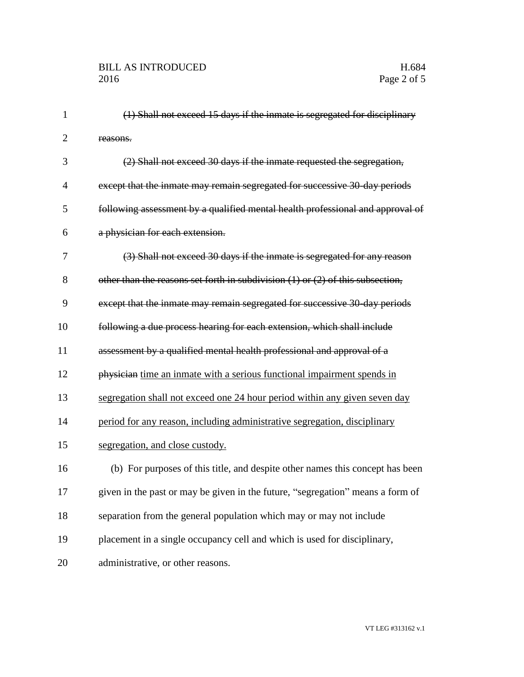| $\mathbf{1}$   | (1) Shall not exceed 15 days if the inmate is segregated for disciplinary          |
|----------------|------------------------------------------------------------------------------------|
| $\overline{2}$ | reasons.                                                                           |
| 3              | (2) Shall not exceed 30 days if the inmate requested the segregation,              |
| $\overline{4}$ | except that the inmate may remain segregated for successive 30-day periods         |
| 5              | following assessment by a qualified mental health professional and approval of     |
| 6              | a physician for each extension.                                                    |
| 7              | (3) Shall not exceed 30 days if the inmate is segregated for any reason            |
| 8              | other than the reasons set forth in subdivision $(1)$ or $(2)$ of this subsection, |
| 9              | except that the inmate may remain segregated for successive 30-day periods         |
| 10             | following a due process hearing for each extension, which shall include            |
| 11             | assessment by a qualified mental health professional and approval of a             |
| 12             | physician time an inmate with a serious functional impairment spends in            |
| 13             | segregation shall not exceed one 24 hour period within any given seven day         |
| 14             | period for any reason, including administrative segregation, disciplinary          |
| 15             | segregation, and close custody.                                                    |
| 16             | (b) For purposes of this title, and despite other names this concept has been      |
| 17             | given in the past or may be given in the future, "segregation" means a form of     |
| 18             | separation from the general population which may or may not include                |
| 19             | placement in a single occupancy cell and which is used for disciplinary,           |
| 20             | administrative, or other reasons.                                                  |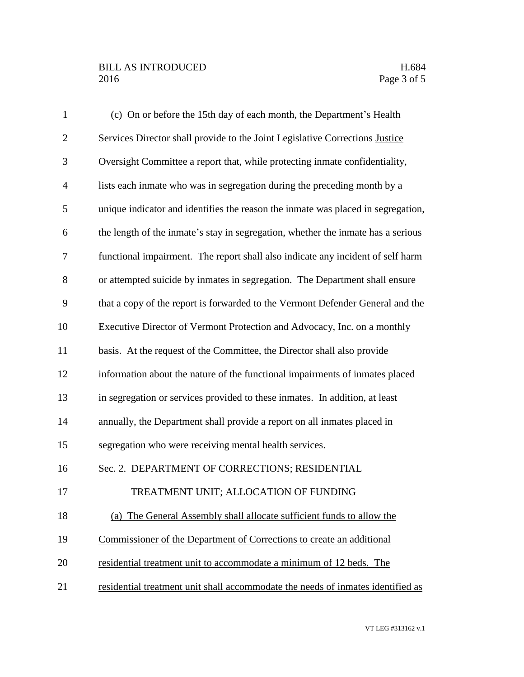## BILL AS INTRODUCED H.684<br>2016 Page 3 of 5

| $\mathbf{1}$   | (c) On or before the 15th day of each month, the Department's Health             |
|----------------|----------------------------------------------------------------------------------|
| $\overline{2}$ | Services Director shall provide to the Joint Legislative Corrections Justice     |
| 3              | Oversight Committee a report that, while protecting inmate confidentiality,      |
| $\overline{4}$ | lists each inmate who was in segregation during the preceding month by a         |
| 5              | unique indicator and identifies the reason the inmate was placed in segregation, |
| 6              | the length of the inmate's stay in segregation, whether the inmate has a serious |
| 7              | functional impairment. The report shall also indicate any incident of self harm  |
| 8              | or attempted suicide by inmates in segregation. The Department shall ensure      |
| 9              | that a copy of the report is forwarded to the Vermont Defender General and the   |
| 10             | Executive Director of Vermont Protection and Advocacy, Inc. on a monthly         |
| 11             | basis. At the request of the Committee, the Director shall also provide          |
| 12             | information about the nature of the functional impairments of inmates placed     |
| 13             | in segregation or services provided to these inmates. In addition, at least      |
| 14             | annually, the Department shall provide a report on all inmates placed in         |
| 15             | segregation who were receiving mental health services.                           |
| 16             | Sec. 2. DEPARTMENT OF CORRECTIONS; RESIDENTIAL                                   |
| 17             | TREATMENT UNIT; ALLOCATION OF FUNDING                                            |
| 18             | (a) The General Assembly shall allocate sufficient funds to allow the            |
| 19             | Commissioner of the Department of Corrections to create an additional            |
| 20             | residential treatment unit to accommodate a minimum of 12 beds. The              |
| 21             | residential treatment unit shall accommodate the needs of inmates identified as  |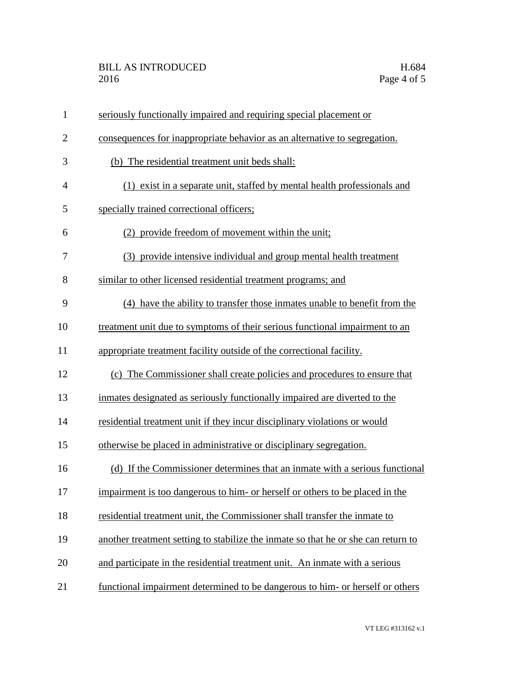| $\mathbf{1}$   | seriously functionally impaired and requiring special placement or                |
|----------------|-----------------------------------------------------------------------------------|
| $\overline{2}$ | consequences for inappropriate behavior as an alternative to segregation.         |
| 3              | (b) The residential treatment unit beds shall:                                    |
| 4              | (1) exist in a separate unit, staffed by mental health professionals and          |
| 5              | specially trained correctional officers;                                          |
| 6              | (2) provide freedom of movement within the unit;                                  |
| 7              | (3) provide intensive individual and group mental health treatment                |
| 8              | similar to other licensed residential treatment programs; and                     |
| 9              | (4) have the ability to transfer those inmates unable to benefit from the         |
| 10             | treatment unit due to symptoms of their serious functional impairment to an       |
| 11             | appropriate treatment facility outside of the correctional facility.              |
| 12             | (c) The Commissioner shall create policies and procedures to ensure that          |
| 13             | inmates designated as seriously functionally impaired are diverted to the         |
| 14             | residential treatment unit if they incur disciplinary violations or would         |
| 15             | otherwise be placed in administrative or disciplinary segregation.                |
| 16             | (d) If the Commissioner determines that an inmate with a serious functional       |
| 17             | impairment is too dangerous to him- or herself or others to be placed in the      |
| 18             | residential treatment unit, the Commissioner shall transfer the inmate to         |
| 19             | another treatment setting to stabilize the inmate so that he or she can return to |
| 20             | and participate in the residential treatment unit. An inmate with a serious       |
| 21             | functional impairment determined to be dangerous to him- or herself or others     |